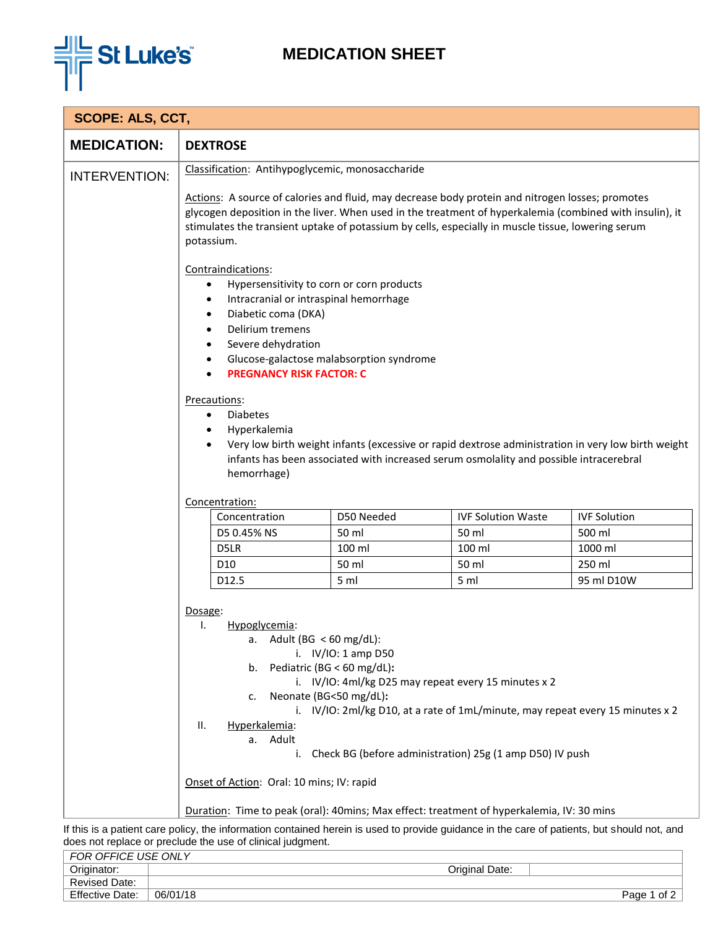

## **MEDICATION SHEET**

| <b>SCOPE: ALS, CCT,</b>                                                                   |                                                                                                                                                                                                                                                                                                                                                                                                                                                                                                                                                                                                                                                                                                                                                                                                                                                                                                                                                                                                     |            |                                                                                                                                             |                     |  |  |
|-------------------------------------------------------------------------------------------|-----------------------------------------------------------------------------------------------------------------------------------------------------------------------------------------------------------------------------------------------------------------------------------------------------------------------------------------------------------------------------------------------------------------------------------------------------------------------------------------------------------------------------------------------------------------------------------------------------------------------------------------------------------------------------------------------------------------------------------------------------------------------------------------------------------------------------------------------------------------------------------------------------------------------------------------------------------------------------------------------------|------------|---------------------------------------------------------------------------------------------------------------------------------------------|---------------------|--|--|
| <b>MEDICATION:</b>                                                                        | <b>DEXTROSE</b>                                                                                                                                                                                                                                                                                                                                                                                                                                                                                                                                                                                                                                                                                                                                                                                                                                                                                                                                                                                     |            |                                                                                                                                             |                     |  |  |
| <b>INTERVENTION:</b>                                                                      | Classification: Antihypoglycemic, monosaccharide<br>Actions: A source of calories and fluid, may decrease body protein and nitrogen losses; promotes<br>glycogen deposition in the liver. When used in the treatment of hyperkalemia (combined with insulin), it<br>stimulates the transient uptake of potassium by cells, especially in muscle tissue, lowering serum<br>potassium.<br>Contraindications:<br>Hypersensitivity to corn or corn products<br>$\bullet$<br>Intracranial or intraspinal hemorrhage<br>$\bullet$<br>Diabetic coma (DKA)<br>٠<br>Delirium tremens<br>Severe dehydration<br>Glucose-galactose malabsorption syndrome<br>٠<br><b>PREGNANCY RISK FACTOR: C</b><br>Precautions:<br><b>Diabetes</b><br>$\bullet$<br>Hyperkalemia<br>$\bullet$<br>Very low birth weight infants (excessive or rapid dextrose administration in very low birth weight<br>infants has been associated with increased serum osmolality and possible intracerebral<br>hemorrhage)<br>Concentration: |            |                                                                                                                                             |                     |  |  |
|                                                                                           |                                                                                                                                                                                                                                                                                                                                                                                                                                                                                                                                                                                                                                                                                                                                                                                                                                                                                                                                                                                                     |            |                                                                                                                                             |                     |  |  |
|                                                                                           | Concentration                                                                                                                                                                                                                                                                                                                                                                                                                                                                                                                                                                                                                                                                                                                                                                                                                                                                                                                                                                                       | D50 Needed | <b>IVF Solution Waste</b>                                                                                                                   | <b>IVF Solution</b> |  |  |
|                                                                                           | D5 0.45% NS                                                                                                                                                                                                                                                                                                                                                                                                                                                                                                                                                                                                                                                                                                                                                                                                                                                                                                                                                                                         | 50 ml      | 50 ml                                                                                                                                       | 500 ml              |  |  |
|                                                                                           | D5LR                                                                                                                                                                                                                                                                                                                                                                                                                                                                                                                                                                                                                                                                                                                                                                                                                                                                                                                                                                                                | 100 ml     | 100 ml                                                                                                                                      | 1000 ml             |  |  |
|                                                                                           | D <sub>10</sub>                                                                                                                                                                                                                                                                                                                                                                                                                                                                                                                                                                                                                                                                                                                                                                                                                                                                                                                                                                                     | 50 ml      | 50 ml                                                                                                                                       | 250 ml              |  |  |
|                                                                                           | D12.5                                                                                                                                                                                                                                                                                                                                                                                                                                                                                                                                                                                                                                                                                                                                                                                                                                                                                                                                                                                               | 5 ml       | 5 <sub>m</sub>                                                                                                                              | 95 ml D10W          |  |  |
|                                                                                           | Dosage:<br>Ι.<br>Hypoglycemia:<br>Adult (BG $<$ 60 mg/dL):<br>а.<br>i. $IV/IO: 1 amp D50$<br>Pediatric (BG < 60 mg/dL):<br>b.<br>i. IV/IO: 4ml/kg D25 may repeat every 15 minutes x 2<br>Neonate (BG<50 mg/dL):<br>c.<br>i. IV/IO: 2ml/kg D10, at a rate of 1mL/minute, may repeat every 15 minutes x 2<br>Hyperkalemia:<br>ΙΙ.<br>a. Adult<br>Check BG (before administration) 25g (1 amp D50) IV push<br>i.                                                                                                                                                                                                                                                                                                                                                                                                                                                                                                                                                                                       |            |                                                                                                                                             |                     |  |  |
|                                                                                           | Onset of Action: Oral: 10 mins; IV: rapid                                                                                                                                                                                                                                                                                                                                                                                                                                                                                                                                                                                                                                                                                                                                                                                                                                                                                                                                                           |            |                                                                                                                                             |                     |  |  |
| Duration: Time to peak (oral): 40mins; Max effect: treatment of hyperkalemia, IV: 30 mins |                                                                                                                                                                                                                                                                                                                                                                                                                                                                                                                                                                                                                                                                                                                                                                                                                                                                                                                                                                                                     |            |                                                                                                                                             |                     |  |  |
|                                                                                           |                                                                                                                                                                                                                                                                                                                                                                                                                                                                                                                                                                                                                                                                                                                                                                                                                                                                                                                                                                                                     |            | If this is a patient care policy, the information contained herein is used to provide guidance in the care of patients, but should not, and |                     |  |  |

does not replace or preclude the use of clinical judgment.

| FOR OFFICE USE ONLY    |          |                |              |
|------------------------|----------|----------------|--------------|
| Originator:            |          | Original Date: |              |
| <b>Revised Date:</b>   |          |                |              |
| <b>Effective Date:</b> | 06/01/18 |                | of 2<br>Page |
|                        |          |                |              |